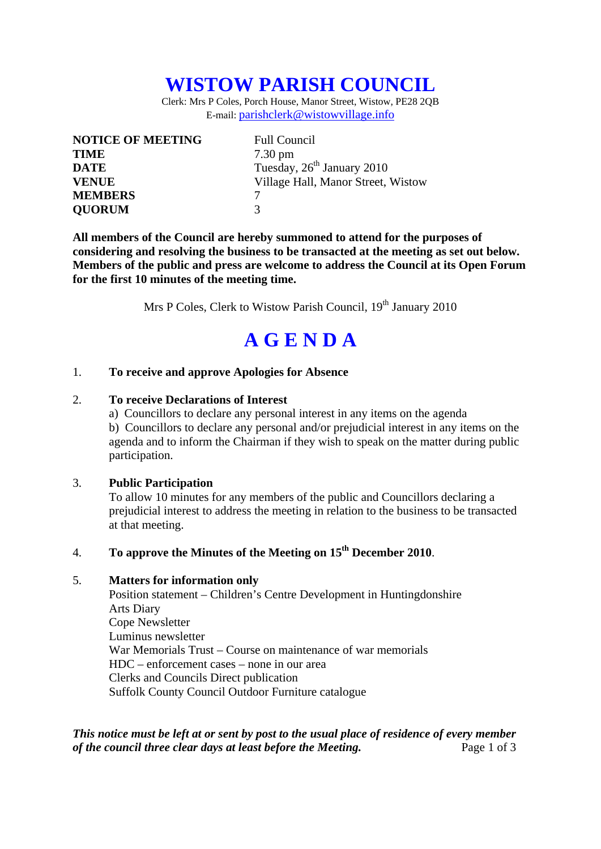## **WISTOW PARISH COUNCIL**

Clerk: Mrs P Coles, Porch House, Manor Street, Wistow, PE28 2QB E-mail: parishclerk@wistowvillage.info

| <b>NOTICE OF MEETING</b> | <b>Full Council</b>                    |
|--------------------------|----------------------------------------|
| <b>TIME</b>              | $7.30 \text{ pm}$                      |
| <b>DATE</b>              | Tuesday, 26 <sup>th</sup> January 2010 |
| <b>VENUE</b>             | Village Hall, Manor Street, Wistow     |
| <b>MEMBERS</b>           |                                        |
| <b>QUORUM</b>            | 3                                      |

**All members of the Council are hereby summoned to attend for the purposes of considering and resolving the business to be transacted at the meeting as set out below. Members of the public and press are welcome to address the Council at its Open Forum for the first 10 minutes of the meeting time.** 

Mrs P Coles, Clerk to Wistow Parish Council, 19<sup>th</sup> January 2010

# **A G E N D A**

#### 1. **To receive and approve Apologies for Absence**

#### 2. **To receive Declarations of Interest**

 a) Councillors to declare any personal interest in any items on the agenda b) Councillors to declare any personal and/or prejudicial interest in any items on the agenda and to inform the Chairman if they wish to speak on the matter during public participation.

#### 3. **Public Participation**

To allow 10 minutes for any members of the public and Councillors declaring a prejudicial interest to address the meeting in relation to the business to be transacted at that meeting.

#### 4. **To approve the Minutes of the Meeting on 15th December 2010**.

#### 5. **Matters for information only**

Position statement – Children's Centre Development in Huntingdonshire Arts Diary Cope Newsletter Luminus newsletter War Memorials Trust – Course on maintenance of war memorials HDC – enforcement cases – none in our area Clerks and Councils Direct publication Suffolk County Council Outdoor Furniture catalogue

*This notice must be left at or sent by post to the usual place of residence of every member of the council three clear days at least before the Meeting.* Page 1 of 3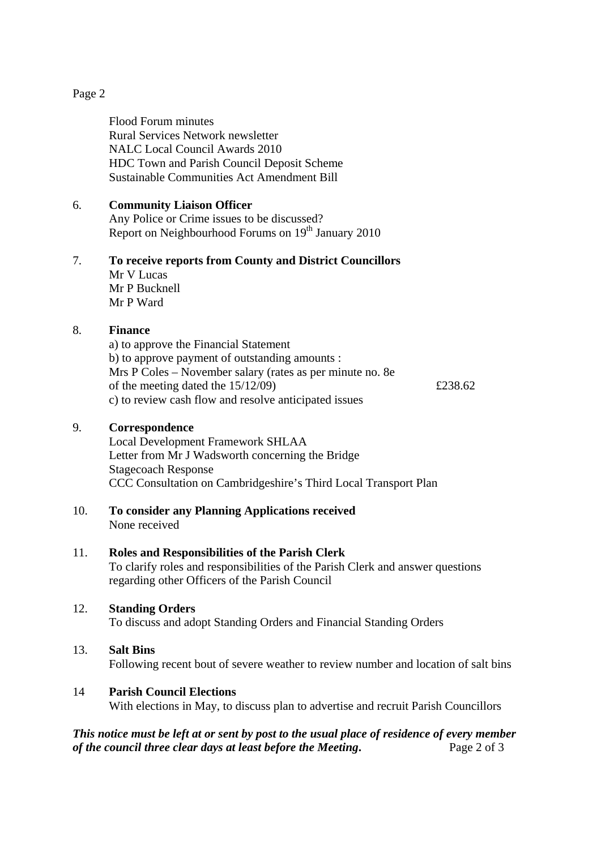#### Page 2

Flood Forum minutes Rural Services Network newsletter NALC Local Council Awards 2010 HDC Town and Parish Council Deposit Scheme Sustainable Communities Act Amendment Bill

#### 6. **Community Liaison Officer**

Any Police or Crime issues to be discussed? Report on Neighbourhood Forums on 19<sup>th</sup> January 2010

### 7. **To receive reports from County and District Councillors**

Mr V Lucas Mr P Bucknell Mr P Ward

#### 8. **Finance**

a) to approve the Financial Statement b) to approve payment of outstanding amounts : Mrs P Coles – November salary (rates as per minute no. 8e of the meeting dated the  $15/12/09$   $\qquad \qquad$  £238.62 c) to review cash flow and resolve anticipated issues

#### 9. **Correspondence**

Local Development Framework SHLAA Letter from Mr J Wadsworth concerning the Bridge Stagecoach Response CCC Consultation on Cambridgeshire's Third Local Transport Plan

#### 10. **To consider any Planning Applications received**  None received

#### 11. **Roles and Responsibilities of the Parish Clerk**

To clarify roles and responsibilities of the Parish Clerk and answer questions regarding other Officers of the Parish Council

#### 12. **Standing Orders**

To discuss and adopt Standing Orders and Financial Standing Orders

#### 13. **Salt Bins**

Following recent bout of severe weather to review number and location of salt bins

#### 14 **Parish Council Elections**

With elections in May, to discuss plan to advertise and recruit Parish Councillors

#### *This notice must be left at or sent by post to the usual place of residence of every member of the council three clear days at least before the Meeting***.** Page 2 of 3